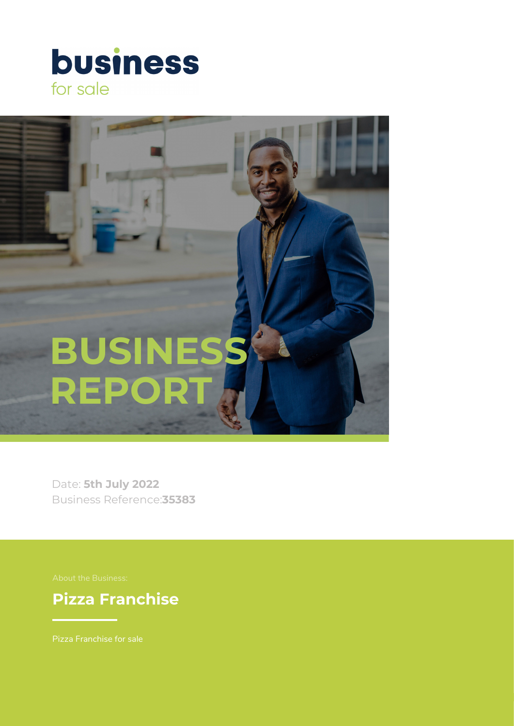



Date: **5th July 2022** Business Reference:**35383**

**Pizza Franchise**

Pizza Franchise for sale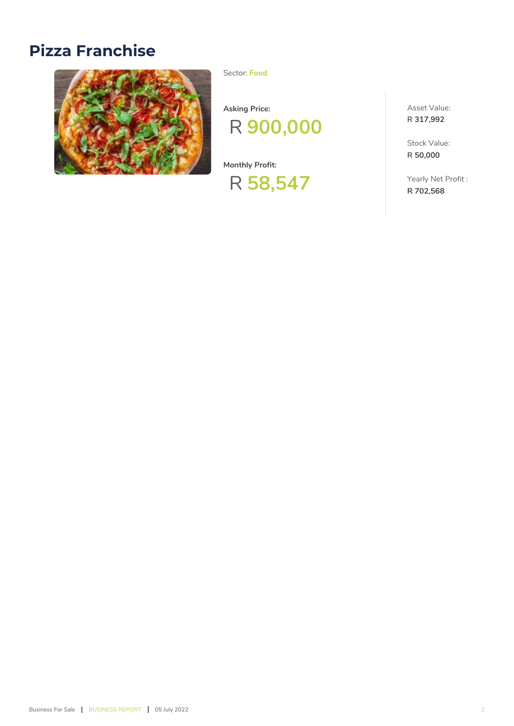# **Pizza Franchise**



Sector: **Food**

**Asking Price:**



**Monthly Profit:**

# R **58,547**

Asset Value: **R 317,992**

Stock Value: **R 50,000**

Yearly Net Profit : **R 702,568**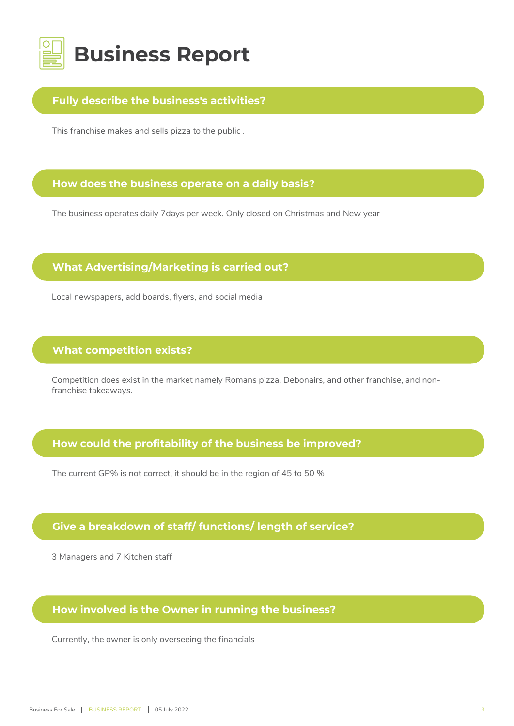

#### **Fully describe the business's activities?**

This franchise makes and sells pizza to the public .

#### **How does the business operate on a daily basis?**

The business operates daily 7days per week. Only closed on Christmas and New year

#### **What Advertising/Marketing is carried out?**

Local newspapers, add boards, flyers, and social media

#### **What competition exists?**

Competition does exist in the market namely Romans pizza, Debonairs, and other franchise, and nonfranchise takeaways.

#### **How could the profitability of the business be improved?**

The current GP% is not correct, it should be in the region of 45 to 50 %

## **Give a breakdown of staff/ functions/ length of service?**

3 Managers and 7 Kitchen staff

#### **How involved is the Owner in running the business?**

Currently, the owner is only overseeing the financials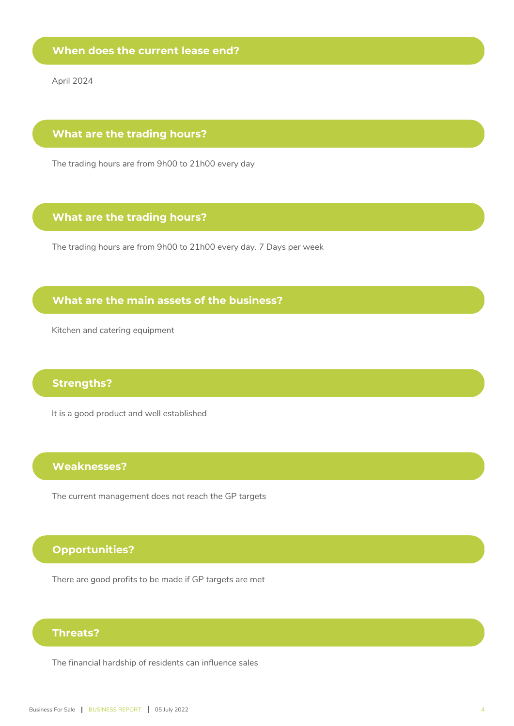April 2024

#### **What are the trading hours?**

The trading hours are from 9h00 to 21h00 every day

### **What are the trading hours?**

The trading hours are from 9h00 to 21h00 every day. 7 Days per week

## **What are the main assets of the business?**

Kitchen and catering equipment

#### **Strengths?**

It is a good product and well established

#### **Weaknesses?**

The current management does not reach the GP targets

### **Opportunities?**

There are good profits to be made if GP targets are met

#### **Threats?**

The financial hardship of residents can influence sales